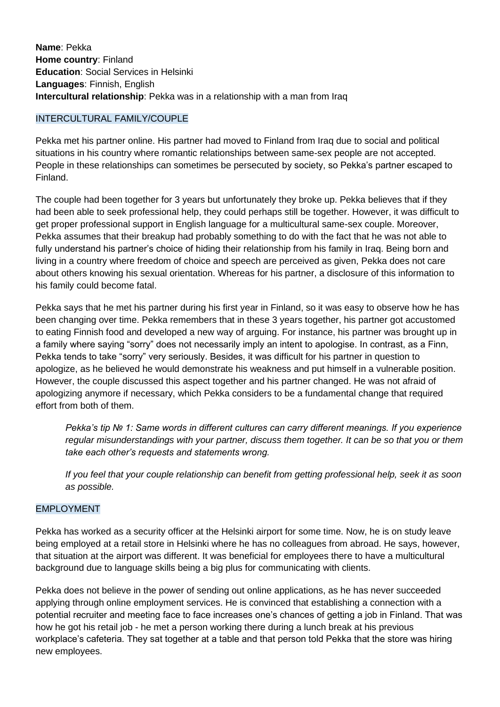**Name**: Pekka **Home country**: Finland **Education**: Social Services in Helsinki **Languages**: Finnish, English **Intercultural relationship**: Pekka was in a relationship with a man from Iraq

## INTERCULTURAL FAMILY/COUPLE

Pekka met his partner online. His partner had moved to Finland from Iraq due to social and political situations in his country where romantic relationships between same-sex people are not accepted. People in these relationships can sometimes be persecuted by society, so Pekka's partner escaped to Finland.

The couple had been together for 3 years but unfortunately they broke up. Pekka believes that if they had been able to seek professional help, they could perhaps still be together. However, it was difficult to get proper professional support in English language for a multicultural same-sex couple. Moreover, Pekka assumes that their breakup had probably something to do with the fact that he was not able to fully understand his partner's choice of hiding their relationship from his family in Iraq. Being born and living in a country where freedom of choice and speech are perceived as given, Pekka does not care about others knowing his sexual orientation. Whereas for his partner, a disclosure of this information to his family could become fatal.

Pekka says that he met his partner during his first year in Finland, so it was easy to observe how he has been changing over time. Pekka remembers that in these 3 years together, his partner got accustomed to eating Finnish food and developed a new way of arguing. For instance, his partner was brought up in a family where saying "sorry" does not necessarily imply an intent to apologise. In contrast, as a Finn, Pekka tends to take "sorry" very seriously. Besides, it was difficult for his partner in question to apologize, as he believed he would demonstrate his weakness and put himself in a vulnerable position. However, the couple discussed this aspect together and his partner changed. He was not afraid of apologizing anymore if necessary, which Pekka considers to be a fundamental change that required effort from both of them.

*Pekka's tip № 1: Same words in different cultures can carry different meanings. If you experience regular misunderstandings with your partner, discuss them together. It can be so that you or them take each other's requests and statements wrong.* 

*If you feel that your couple relationship can benefit from getting professional help, seek it as soon as possible.* 

## EMPLOYMENT

Pekka has worked as a security officer at the Helsinki airport for some time. Now, he is on study leave being employed at a retail store in Helsinki where he has no colleagues from abroad. He says, however, that situation at the airport was different. It was beneficial for employees there to have a multicultural background due to language skills being a big plus for communicating with clients.

Pekka does not believe in the power of sending out online applications, as he has never succeeded applying through online employment services. He is convinced that establishing a connection with a potential recruiter and meeting face to face increases one's chances of getting a job in Finland. That was how he got his retail job - he met a person working there during a lunch break at his previous workplace's cafeteria. They sat together at a table and that person told Pekka that the store was hiring new employees.